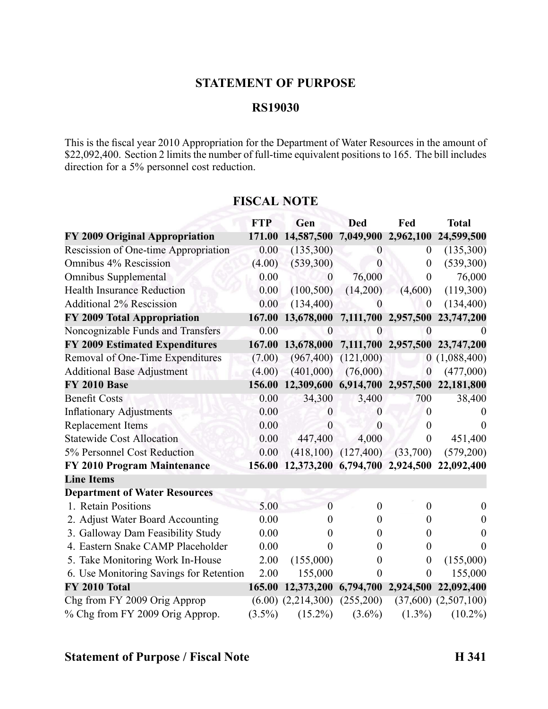## **STATEMENT OF PURPOSE**

#### **RS19030**

This is the fiscal year 2010 Appropriation for the Department of Water Resources in the amount of  $$22,092,400$ . Section 2 limits the number of full-time equivalent positions to 165. The bill includes direction for <sup>a</sup> 5% personnel cost reduction.

|                                         | <b>FTP</b> | Gen                                       | <b>Ded</b>          | Fed                 | <b>Total</b>             |
|-----------------------------------------|------------|-------------------------------------------|---------------------|---------------------|--------------------------|
| FY 2009 Original Appropriation          | 171.00     | 14,587,500                                | 7,049,900 2,962,100 |                     | 24,599,500               |
| Rescission of One-time Appropriation    | 0.00       | (135,300)                                 | $\theta$            | $\theta$            | (135,300)                |
| Omnibus 4% Rescission                   | (4.00)     | (539,300)                                 | $\overline{0}$      | $\boldsymbol{0}$    | (539,300)                |
| <b>Omnibus Supplemental</b>             | 0.00       | $\boldsymbol{0}$                          | 76,000              | $\overline{0}$      | 76,000                   |
| <b>Health Insurance Reduction</b>       | 0.00       | (100, 500)                                | (14,200)            | (4,600)             | (119,300)                |
| <b>Additional 2% Rescission</b>         | 0.00       | (134, 400)                                | $\boldsymbol{0}$    | $\boldsymbol{0}$    | (134, 400)               |
| FY 2009 Total Appropriation             | 167.00     | 13,678,000                                |                     | 7,111,700 2,957,500 | 23,747,200               |
| Noncognizable Funds and Transfers       | 0.00       | $\theta$                                  | $\theta$            | 0                   |                          |
| <b>FY 2009 Estimated Expenditures</b>   | 167.00     | 13,678,000                                |                     | 7,111,700 2,957,500 | 23,747,200               |
| Removal of One-Time Expenditures        | (7.00)     | (967, 400)                                | (121,000)           |                     | 0(1,088,400)             |
| <b>Additional Base Adjustment</b>       | (4.00)     | (401,000)                                 | (76,000)            | $\boldsymbol{0}$    | (477,000)                |
| <b>FY 2010 Base</b>                     | 156.00     | 12,309,600 6,914,700 2,957,500            |                     |                     | 22,181,800               |
| <b>Benefit Costs</b>                    | 0.00       | 34,300                                    | 3,400               | 700                 | 38,400                   |
| <b>Inflationary Adjustments</b>         | 0.00       | $\theta$                                  | $\theta$            | 0                   |                          |
| <b>Replacement Items</b>                | 0.00       | $\theta$                                  | $\theta$            | $\boldsymbol{0}$    | $\theta$                 |
| <b>Statewide Cost Allocation</b>        | 0.00       | 447,400                                   | 4,000               | $\boldsymbol{0}$    | 451,400                  |
| 5% Personnel Cost Reduction             | 0.00       | (418, 100)                                | (127, 400)          | (33,700)            | (579,200)                |
| <b>FY 2010 Program Maintenance</b>      | 156.00     | 12,373,200 6,794,700 2,924,500 22,092,400 |                     |                     |                          |
| <b>Line Items</b>                       |            |                                           |                     |                     |                          |
| <b>Department of Water Resources</b>    |            |                                           |                     |                     |                          |
| 1. Retain Positions                     | 5.00       | $\Omega$                                  | $\theta$            | $\boldsymbol{0}$    | $\theta$                 |
| 2. Adjust Water Board Accounting        | 0.00       | 0                                         | 0                   | $\boldsymbol{0}$    | 0                        |
| 3. Galloway Dam Feasibility Study       | 0.00       | 0                                         | 0                   | $\boldsymbol{0}$    | 0                        |
| 4. Eastern Snake CAMP Placeholder       | 0.00       | 0                                         | $\theta$            | $\boldsymbol{0}$    |                          |
| 5. Take Monitoring Work In-House        | 2.00       | (155,000)                                 | 0                   | $\boldsymbol{0}$    | (155,000)                |
| 6. Use Monitoring Savings for Retention | 2.00       | 155,000                                   | $\theta$            | $\boldsymbol{0}$    | 155,000                  |
| FY 2010 Total                           | 165.00     | 12,373,200                                |                     | 6,794,700 2,924,500 | 22,092,400               |
| Chg from FY 2009 Orig Approp            |            | $(6.00)$ $(2,214,300)$ $(255,200)$        |                     |                     | $(37,600)$ $(2,507,100)$ |
| % Chg from FY 2009 Orig Approp.         | $(3.5\%)$  | $(15.2\%)$                                | $(3.6\%)$           | $(1.3\%)$           | $(10.2\%)$               |

### **FISCAL NOTE**

## **Statement of Purpose / Fiscal Note H 341**